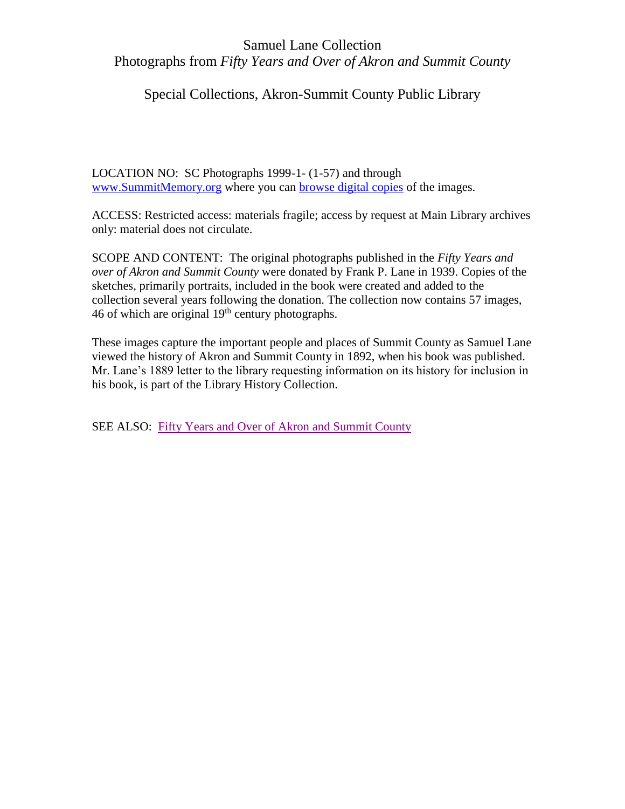#### Special Collections, Akron-Summit County Public Library

LOCATION NO: SC Photographs 1999-1- (1-57) and through [www.SummitMemory.org](http://www.summitmemory.org/) where you can [browse digital copies](https://www.summitmemory.org/digital/collection/lane/search) of the images.

ACCESS: Restricted access: materials fragile; access by request at Main Library archives only: material does not circulate.

SCOPE AND CONTENT: The original photographs published in the *Fifty Years and over of Akron and Summit County* were donated by Frank P. Lane in 1939. Copies of the sketches, primarily portraits, included in the book were created and added to the collection several years following the donation. The collection now contains 57 images, 46 of which are original  $19<sup>th</sup>$  century photographs.

These images capture the important people and places of Summit County as Samuel Lane viewed the history of Akron and Summit County in 1892, when his book was published. Mr. Lane's 1889 letter to the library requesting information on its history for inclusion in his book, is part of the Library History Collection.

SEE ALSO: [Fifty Years and Over of Akron and Summit County](https://archive.org/details/cu31924028848864)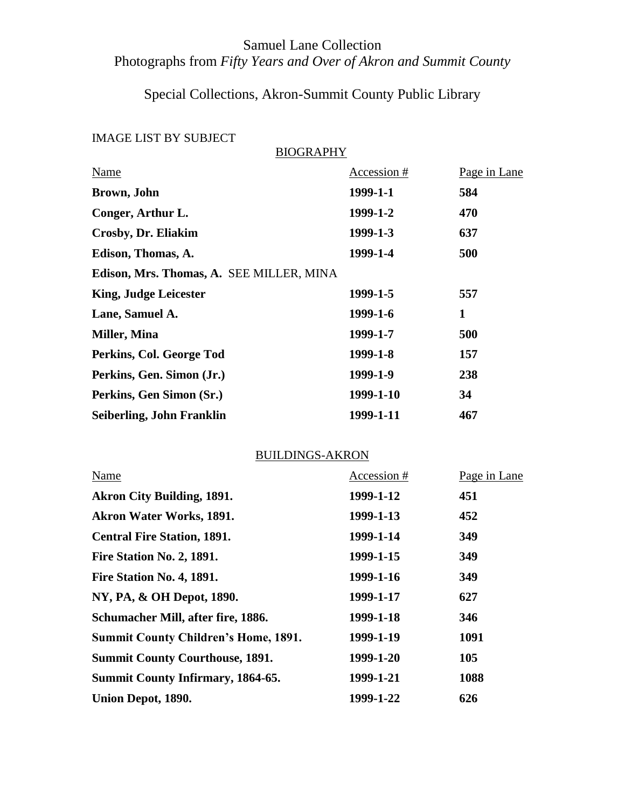## Special Collections, Akron-Summit County Public Library

### IMAGE LIST BY SUBJECT

BIOGRAPHY

| Name                                     | Accession # | Page in Lane |
|------------------------------------------|-------------|--------------|
| Brown, John                              | 1999-1-1    | 584          |
| Conger, Arthur L.                        | 1999-1-2    | 470          |
| Crosby, Dr. Eliakim                      | 1999-1-3    | 637          |
| Edison, Thomas, A.                       | 1999-1-4    | 500          |
| Edison, Mrs. Thomas, A. SEE MILLER, MINA |             |              |
| <b>King, Judge Leicester</b>             | 1999-1-5    | 557          |
| Lane, Samuel A.                          | 1999-1-6    | 1            |
| Miller, Mina                             | 1999-1-7    | 500          |
| Perkins, Col. George Tod                 | 1999-1-8    | 157          |
| Perkins, Gen. Simon (Jr.)                | 1999-1-9    | 238          |
| Perkins, Gen Simon (Sr.)                 | 1999-1-10   | 34           |
| Seiberling, John Franklin                | 1999-1-11   | 467          |

#### BUILDINGS-AKRON

| Name                                        | Accession # | Page in Lane |
|---------------------------------------------|-------------|--------------|
| <b>Akron City Building, 1891.</b>           | 1999-1-12   | 451          |
| <b>Akron Water Works, 1891.</b>             | 1999-1-13   | 452          |
| <b>Central Fire Station, 1891.</b>          | 1999-1-14   | 349          |
| Fire Station No. 2, 1891.                   | 1999-1-15   | 349          |
| Fire Station No. 4, 1891.                   | 1999-1-16   | 349          |
| NY, PA, & OH Depot, 1890.                   | 1999-1-17   | 627          |
| Schumacher Mill, after fire, 1886.          | 1999-1-18   | 346          |
| <b>Summit County Children's Home, 1891.</b> | 1999-1-19   | 1091         |
| <b>Summit County Courthouse, 1891.</b>      | 1999-1-20   | 105          |
| <b>Summit County Infirmary, 1864-65.</b>    | 1999-1-21   | 1088         |
| Union Depot, 1890.                          | 1999-1-22   | 626          |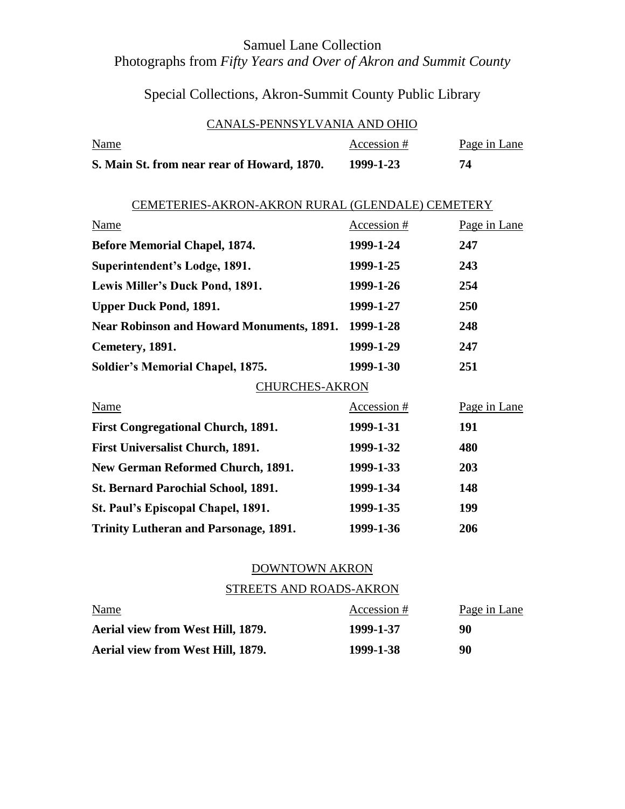## Special Collections, Akron-Summit County Public Library

#### CANALS-PENNSYLVANIA AND OHIO

| <b>Name</b>                                 | Accession # | Page in Lane |
|---------------------------------------------|-------------|--------------|
| S. Main St. from near rear of Howard, 1870. | 1999-1-23   | 74           |

| CEMETERIES-AKRON-AKRON RURAL (GLENDALE) CEMETERY |               |              |  |
|--------------------------------------------------|---------------|--------------|--|
| <b>Name</b>                                      | Accession #   | Page in Lane |  |
| <b>Before Memorial Chapel, 1874.</b>             | 1999-1-24     | 247          |  |
| Superintendent's Lodge, 1891.                    | 1999-1-25     | 243          |  |
| Lewis Miller's Duck Pond, 1891.                  | 1999-1-26     | 254          |  |
| <b>Upper Duck Pond, 1891.</b>                    | 1999-1-27     | 250          |  |
| <b>Near Robinson and Howard Monuments, 1891.</b> | 1999-1-28     | 248          |  |
| Cemetery, 1891.                                  | 1999-1-29     | 247          |  |
| <b>Soldier's Memorial Chapel, 1875.</b>          | 1999-1-30     | 251          |  |
| CHURCHES-AKRON                                   |               |              |  |
| <b>Name</b>                                      | $Accession #$ | Page in Lane |  |
| <b>First Congregational Church, 1891.</b>        | 1999-1-31     | 191          |  |
| <b>First Universalist Church, 1891.</b>          | 1999-1-32     | 480          |  |
| <b>New German Reformed Church, 1891.</b>         | 1999-1-33     | 203          |  |
| St. Bernard Parochial School, 1891.              | 1999-1-34     | 148          |  |
| St. Paul's Episcopal Chapel, 1891.               | 1999-1-35     | 199          |  |
| <b>Trinity Lutheran and Parsonage, 1891.</b>     | 1999-1-36     | 206          |  |

#### DOWNTOWN AKRON

#### STREETS AND ROADS-AKRON

| <b>Name</b>                       | Accession # | Page in Lane |
|-----------------------------------|-------------|--------------|
| Aerial view from West Hill, 1879. | 1999-1-37   | 90           |
| Aerial view from West Hill, 1879. | 1999-1-38   | 90           |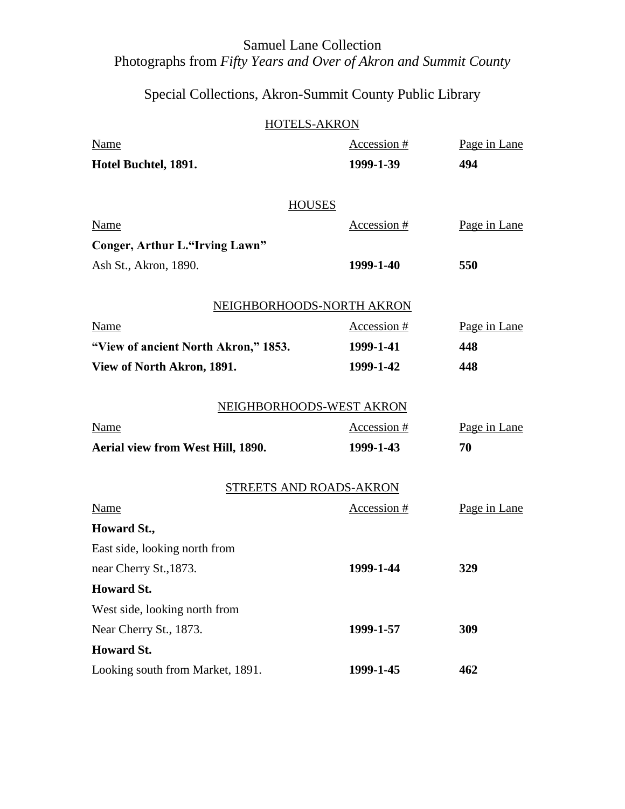## Special Collections, Akron-Summit County Public Library

#### HOTELS-AKRON

| Name                                 | Accession $#$             | Page in Lane |
|--------------------------------------|---------------------------|--------------|
| Hotel Buchtel, 1891.                 | 1999-1-39                 | 494          |
|                                      |                           |              |
|                                      | <b>HOUSES</b>             |              |
| Name                                 | Accession #               | Page in Lane |
| Conger, Arthur L."Irving Lawn"       |                           |              |
| Ash St., Akron, 1890.                | 1999-1-40                 | 550          |
|                                      | NEIGHBORHOODS-NORTH AKRON |              |
| Name                                 | Accession #               | Page in Lane |
| "View of ancient North Akron," 1853. | 1999-1-41                 | 448          |
| View of North Akron, 1891.           | 1999-1-42                 | 448          |
|                                      |                           |              |
|                                      | NEIGHBORHOODS-WEST AKRON  |              |
| Name                                 | Accession #               | Page in Lane |
| Aerial view from West Hill, 1890.    | 1999-1-43                 | 70           |
|                                      | STREETS AND ROADS-AKRON   |              |
| Name                                 | Accession #               | Page in Lane |
| Howard St.,                          |                           |              |
| East side, looking north from        |                           |              |
| near Cherry St., 1873.               | 1999-1-44                 | 329          |
| <b>Howard St.</b>                    |                           |              |
| West side, looking north from        |                           |              |
| Near Cherry St., 1873.               | 1999-1-57                 | 309          |
| <b>Howard St.</b>                    |                           |              |
| Looking south from Market, 1891.     | 1999-1-45                 | 462          |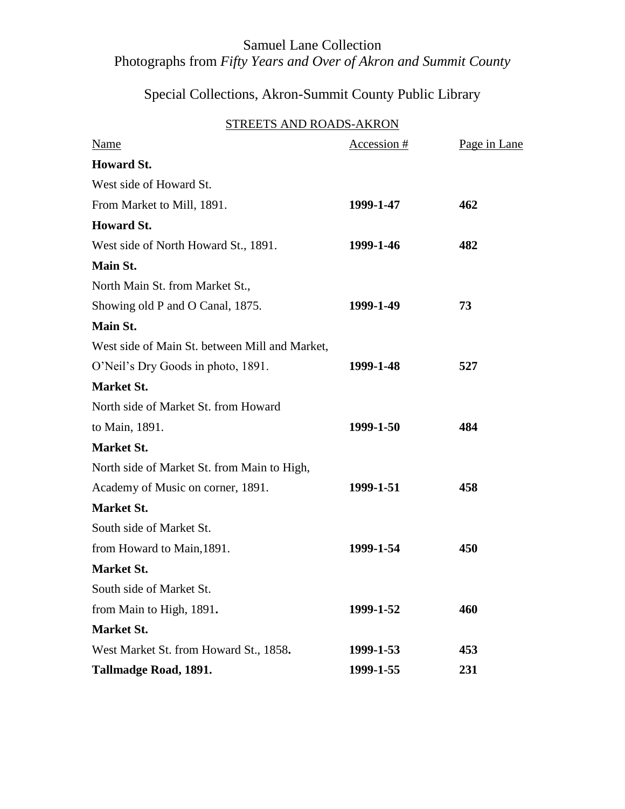## Special Collections, Akron-Summit County Public Library

#### STREETS AND ROADS-AKRON

| <b>Name</b>                                    | Accession # | Page in Lane |
|------------------------------------------------|-------------|--------------|
| <b>Howard St.</b>                              |             |              |
| West side of Howard St.                        |             |              |
| From Market to Mill, 1891.                     | 1999-1-47   | 462          |
| <b>Howard St.</b>                              |             |              |
| West side of North Howard St., 1891.           | 1999-1-46   | 482          |
| Main St.                                       |             |              |
| North Main St. from Market St.,                |             |              |
| Showing old P and O Canal, 1875.               | 1999-1-49   | 73           |
| Main St.                                       |             |              |
| West side of Main St. between Mill and Market, |             |              |
| O'Neil's Dry Goods in photo, 1891.             | 1999-1-48   | 527          |
| <b>Market St.</b>                              |             |              |
| North side of Market St. from Howard           |             |              |
| to Main, 1891.                                 | 1999-1-50   | 484          |
| <b>Market St.</b>                              |             |              |
| North side of Market St. from Main to High,    |             |              |
| Academy of Music on corner, 1891.              | 1999-1-51   | 458          |
| <b>Market St.</b>                              |             |              |
| South side of Market St.                       |             |              |
| from Howard to Main, 1891.                     | 1999-1-54   | 450          |
| <b>Market St.</b>                              |             |              |
| South side of Market St.                       |             |              |
| from Main to High, 1891.                       | 1999-1-52   | 460          |
| <b>Market St.</b>                              |             |              |
| West Market St. from Howard St., 1858.         | 1999-1-53   | 453          |
| Tallmadge Road, 1891.                          | 1999-1-55   | 231          |